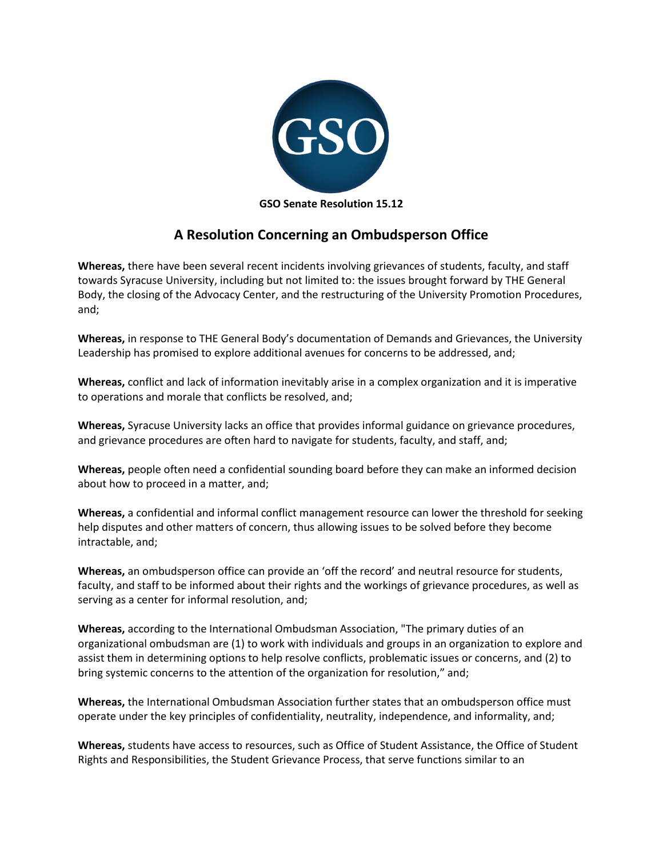

## **A Resolution Concerning an Ombudsperson Office**

**Whereas,** there have been several recent incidents involving grievances of students, faculty, and staff towards Syracuse University, including but not limited to: the issues brought forward by THE General Body, the closing of the Advocacy Center, and the restructuring of the University Promotion Procedures, and;

**Whereas,** in response to THE General Body's documentation of Demands and Grievances, the University Leadership has promised to explore additional avenues for concerns to be addressed, and;

**Whereas,** conflict and lack of information inevitably arise in a complex organization and it is imperative to operations and morale that conflicts be resolved, and;

**Whereas,** Syracuse University lacks an office that provides informal guidance on grievance procedures, and grievance procedures are often hard to navigate for students, faculty, and staff, and;

**Whereas,** people often need a confidential sounding board before they can make an informed decision about how to proceed in a matter, and;

**Whereas,** a confidential and informal conflict management resource can lower the threshold for seeking help disputes and other matters of concern, thus allowing issues to be solved before they become intractable, and;

**Whereas,** an ombudsperson office can provide an 'off the record' and neutral resource for students, faculty, and staff to be informed about their rights and the workings of grievance procedures, as well as serving as a center for informal resolution, and;

**Whereas,** according to the International Ombudsman Association, "The primary duties of an organizational ombudsman are (1) to work with individuals and groups in an organization to explore and assist them in determining options to help resolve conflicts, problematic issues or concerns, and (2) to bring systemic concerns to the attention of the organization for resolution," and;

**Whereas,** the International Ombudsman Association further states that an ombudsperson office must operate under the key principles of confidentiality, neutrality, independence, and informality, and;

**Whereas,** students have access to resources, such as Office of Student Assistance, the Office of Student Rights and Responsibilities, the Student Grievance Process, that serve functions similar to an